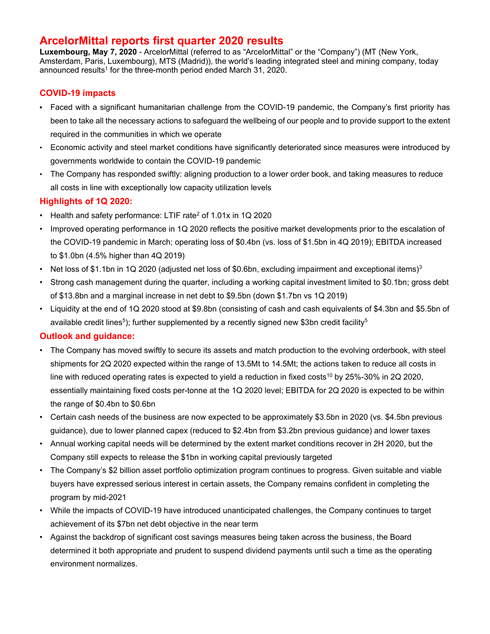# **ArcelorMittal reports first quarter 2020 results**

**Luxembourg, May 7, 2020** - ArcelorMittal (referred to as "ArcelorMittal" or the "Company") (MT (New York, Amsterdam, Paris, Luxembourg), MTS (Madrid)), the world's leading integrated steel and mining company, today announced results<sup>1</sup> for the three-month period ended March 31, 2020.

## **COVID-19 impacts**

- Faced with a significant humanitarian challenge from the COVID-19 pandemic, the Company's first priority has been to take all the necessary actions to safeguard the wellbeing of our people and to provide support to the extent required in the communities in which we operate
- Economic activity and steel market conditions have significantly deteriorated since measures were introduced by governments worldwide to contain the COVID-19 pandemic
- The Company has responded swiftly: aligning production to a lower order book, and taking measures to reduce all costs in line with exceptionally low capacity utilization levels

# **Highlights of 1Q 2020:**

- Health and safety performance: LTIF rate<sup>2</sup> of 1.01x in 1Q 2020
- Improved operating performance in 1Q 2020 reflects the positive market developments prior to the escalation of the COVID-19 pandemic in March; operating loss of \$0.4bn (vs. loss of \$1.5bn in 4Q 2019); EBITDA increased to \$1.0bn (4.5% higher than 4Q 2019)
- Net loss of \$1.1bn in 1Q 2020 (adjusted net loss of \$0.6bn, excluding impairment and exceptional items)<sup>3</sup>
- Strong cash management during the quarter, including a working capital investment limited to \$0.1bn; gross debt of \$13.8bn and a marginal increase in net debt to \$9.5bn (down \$1.7bn vs 1Q 2019)
- Liquidity at the end of 1Q 2020 stood at \$9.8bn (consisting of cash and cash equivalents of \$4.3bn and \$5.5bn of available credit lines<sup>5</sup>); further supplemented by a recently signed new \$3bn credit facility<sup>5</sup>

## **Outlook and guidance:**

- The Company has moved swiftly to secure its assets and match production to the evolving orderbook, with steel shipments for 2Q 2020 expected within the range of 13.5Mt to 14.5Mt; the actions taken to reduce all costs in line with reduced operating rates is expected to yield a reduction in fixed costs<sup>10</sup> by 25%-30% in 2Q 2020, essentially maintaining fixed costs per-tonne at the 1Q 2020 level; EBITDA for 2Q 2020 is expected to be within the range of \$0.4bn to \$0.6bn
- Certain cash needs of the business are now expected to be approximately \$3.5bn in 2020 (vs. \$4.5bn previous guidance), due to lower planned capex (reduced to \$2.4bn from \$3.2bn previous guidance) and lower taxes
- Annual working capital needs will be determined by the extent market conditions recover in 2H 2020, but the Company still expects to release the \$1bn in working capital previously targeted
- The Company's \$2 billion asset portfolio optimization program continues to progress. Given suitable and viable buyers have expressed serious interest in certain assets, the Company remains confident in completing the program by mid-2021
- While the impacts of COVID-19 have introduced unanticipated challenges, the Company continues to target achievement of its \$7bn net debt objective in the near term
- Against the backdrop of significant cost savings measures being taken across the business, the Board determined it both appropriate and prudent to suspend dividend payments until such a time as the operating environment normalizes.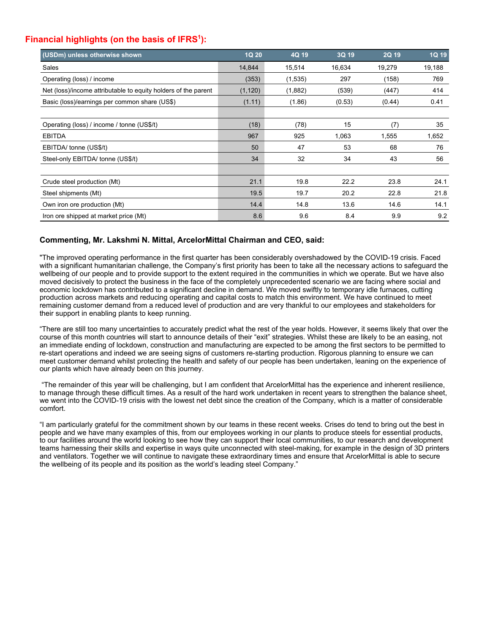# **Financial highlights (on the basis of IFRS<sup>1</sup>):**

| (USDm) unless otherwise shown                                  | 1Q 20    | 4Q 19   | 3Q 19  | 2Q 19  | <b>1Q 19</b> |
|----------------------------------------------------------------|----------|---------|--------|--------|--------------|
| Sales                                                          | 14,844   | 15,514  | 16,634 | 19,279 | 19,188       |
| Operating (loss) / income                                      | (353)    | (1,535) | 297    | (158)  | 769          |
| Net (loss)/income attributable to equity holders of the parent | (1, 120) | (1,882) | (539)  | (447)  | 414          |
| Basic (loss)/earnings per common share (US\$)                  | (1.11)   | (1.86)  | (0.53) | (0.44) | 0.41         |
|                                                                |          |         |        |        |              |
| Operating (loss) / income / tonne (US\$/t)                     | (18)     | (78)    | 15     | (7)    | 35           |
| <b>EBITDA</b>                                                  | 967      | 925     | 1,063  | 1,555  | 1,652        |
| EBITDA/ tonne (US\$/t)                                         | 50       | 47      | 53     | 68     | 76           |
| Steel-only EBITDA/ tonne (US\$/t)                              | 34       | 32      | 34     | 43     | 56           |
|                                                                |          |         |        |        |              |
| Crude steel production (Mt)                                    | 21.1     | 19.8    | 22.2   | 23.8   | 24.1         |
| Steel shipments (Mt)                                           | 19.5     | 19.7    | 20.2   | 22.8   | 21.8         |
| Own iron ore production (Mt)                                   | 14.4     | 14.8    | 13.6   | 14.6   | 14.1         |
| Iron ore shipped at market price (Mt)                          | 8.6      | 9.6     | 8.4    | 9.9    | 9.2          |

## **Commenting, Mr. Lakshmi N. Mittal, ArcelorMittal Chairman and CEO, said:**

"The improved operating performance in the first quarter has been considerably overshadowed by the COVID-19 crisis. Faced with a significant humanitarian challenge, the Company's first priority has been to take all the necessary actions to safeguard the wellbeing of our people and to provide support to the extent required in the communities in which we operate. But we have also moved decisively to protect the business in the face of the completely unprecedented scenario we are facing where social and economic lockdown has contributed to a significant decline in demand. We moved swiftly to temporary idle furnaces, cutting production across markets and reducing operating and capital costs to match this environment. We have continued to meet remaining customer demand from a reduced level of production and are very thankful to our employees and stakeholders for their support in enabling plants to keep running.

"There are still too many uncertainties to accurately predict what the rest of the year holds. However, it seems likely that over the course of this month countries will start to announce details of their "exit" strategies. Whilst these are likely to be an easing, not an immediate ending of lockdown, construction and manufacturing are expected to be among the first sectors to be permitted to re-start operations and indeed we are seeing signs of customers re-starting production. Rigorous planning to ensure we can meet customer demand whilst protecting the health and safety of our people has been undertaken, leaning on the experience of our plants which have already been on this journey.

 "The remainder of this year will be challenging, but I am confident that ArcelorMittal has the experience and inherent resilience, to manage through these difficult times. As a result of the hard work undertaken in recent years to strengthen the balance sheet, we went into the COVID-19 crisis with the lowest net debt since the creation of the Company, which is a matter of considerable comfort.

"I am particularly grateful for the commitment shown by our teams in these recent weeks. Crises do tend to bring out the best in people and we have many examples of this, from our employees working in our plants to produce steels for essential products, to our facilities around the world looking to see how they can support their local communities, to our research and development teams harnessing their skills and expertise in ways quite unconnected with steel-making, for example in the design of 3D printers and ventilators. Together we will continue to navigate these extraordinary times and ensure that ArcelorMittal is able to secure the wellbeing of its people and its position as the world's leading steel Company."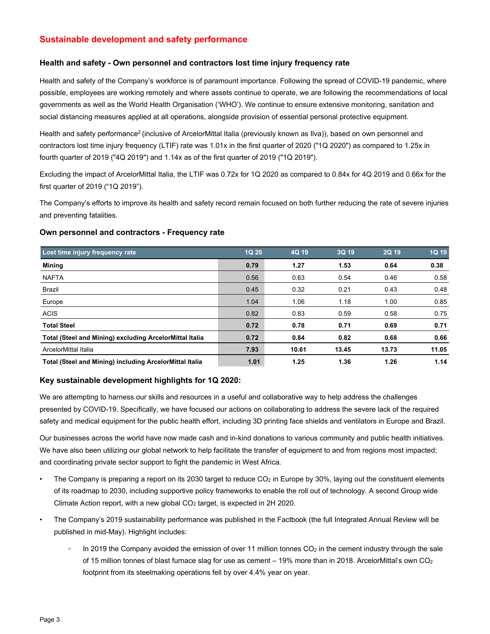## **Sustainable development and safety performance**

### **Health and safety - Own personnel and contractors lost time injury frequency rate**

Health and safety of the Company's workforce is of paramount importance. Following the spread of COVID-19 pandemic, where possible, employees are working remotely and where assets continue to operate, we are following the recommendations of local governments as well as the World Health Organisation ('WHO'). We continue to ensure extensive monitoring, sanitation and social distancing measures applied at all operations, alongside provision of essential personal protective equipment.

Health and safety performance<sup>2</sup> (inclusive of ArcelorMittal Italia (previously known as Ilva)), based on own personnel and contractors lost time injury frequency (LTIF) rate was 1.01x in the first quarter of 2020 ("1Q 2020") as compared to 1.25x in fourth quarter of 2019 ("4Q 2019") and 1.14x as of the first quarter of 2019 ("1Q 2019").

Excluding the impact of ArcelorMittal Italia, the LTIF was 0.72x for 1Q 2020 as compared to 0.84x for 4Q 2019 and 0.66x for the first quarter of 2019 ("1Q 2019").

The Company's efforts to improve its health and safety record remain focused on both further reducing the rate of severe injuries and preventing fatalities.

#### **Own personnel and contractors - Frequency rate**

| Lost time injury frequency rate                                | <b>1Q 20</b> | 4Q 19 | 3Q 19 | 2Q 19 | 1Q 19 |
|----------------------------------------------------------------|--------------|-------|-------|-------|-------|
| Mining                                                         | 0.79         | 1.27  | 1.53  | 0.64  | 0.38  |
| <b>NAFTA</b>                                                   | 0.56         | 0.63  | 0.54  | 0.46  | 0.58  |
| Brazil                                                         | 0.45         | 0.32  | 0.21  | 0.43  | 0.48  |
| Europe                                                         | 1.04         | 1.06  | 1.18  | 1.00  | 0.85  |
| <b>ACIS</b>                                                    | 0.82         | 0.83  | 0.59  | 0.58  | 0.75  |
| <b>Total Steel</b>                                             | 0.72         | 0.78  | 0.71  | 0.69  | 0.71  |
| <b>Total (Steel and Mining) excluding ArcelorMittal Italia</b> | 0.72         | 0.84  | 0.82  | 0.68  | 0.66  |
| ArcelorMittal Italia                                           | 7.93         | 10.61 | 13.45 | 13.73 | 11.05 |
| Total (Steel and Mining) including ArcelorMittal Italia        | 1.01         | 1.25  | 1.36  | 1.26  | 1.14  |

### **Key sustainable development highlights for 1Q 2020:**

We are attempting to harness our skills and resources in a useful and collaborative way to help address the challenges presented by COVID-19. Specifically, we have focused our actions on collaborating to address the severe lack of the required safety and medical equipment for the public health effort, including 3D printing face shields and ventilators in Europe and Brazil.

Our businesses across the world have now made cash and in-kind donations to various community and public health initiatives. We have also been utilizing our global network to help facilitate the transfer of equipment to and from regions most impacted; and coordinating private sector support to fight the pandemic in West Africa.

- The Company is preparing a report on its 2030 target to reduce CO<sub>2</sub> in Europe by 30%, laying out the constituent elements of its roadmap to 2030, including supportive policy frameworks to enable the roll out of technology. A second Group wide Climate Action report, with a new global  $CO<sub>2</sub>$  target, is expected in 2H 2020.
- The Company's 2019 sustainability performance was published in the Factbook (the full Integrated Annual Review will be published in mid-May). Highlight includes:
	- In 2019 the Company avoided the emission of over 11 million tonnes  $CO<sub>2</sub>$  in the cement industry through the sale of 15 million tonnes of blast furnace slag for use as cement – 19% more than in 2018. ArcelorMittal's own CO2 footprint from its steelmaking operations fell by over 4.4% year on year.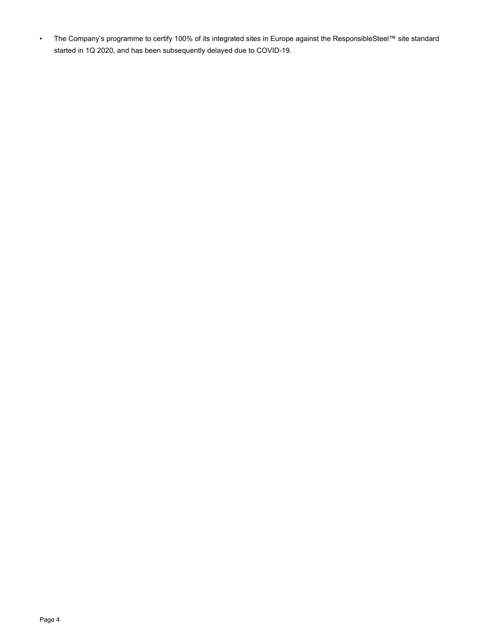• The Company's programme to certify 100% of its integrated sites in Europe against the ResponsibleSteel™ site standard started in 1Q 2020, and has been subsequently delayed due to COVID-19.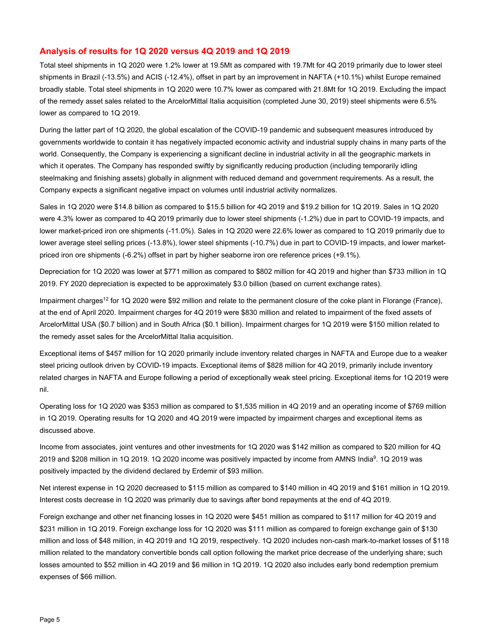#### **Analysis of results for 1Q 2020 versus 4Q 2019 and 1Q 2019**

Total steel shipments in 1Q 2020 were 1.2% lower at 19.5Mt as compared with 19.7Mt for 4Q 2019 primarily due to lower steel shipments in Brazil (-13.5%) and ACIS (-12.4%), offset in part by an improvement in NAFTA (+10.1%) whilst Europe remained broadly stable. Total steel shipments in 1Q 2020 were 10.7% lower as compared with 21.8Mt for 1Q 2019. Excluding the impact of the remedy asset sales related to the ArcelorMittal Italia acquisition (completed June 30, 2019) steel shipments were 6.5% lower as compared to 1Q 2019.

During the latter part of 1Q 2020, the global escalation of the COVID-19 pandemic and subsequent measures introduced by governments worldwide to contain it has negatively impacted economic activity and industrial supply chains in many parts of the world. Consequently, the Company is experiencing a significant decline in industrial activity in all the geographic markets in which it operates. The Company has responded swiftly by significantly reducing production (including temporarily idling steelmaking and finishing assets) globally in alignment with reduced demand and government requirements. As a result, the Company expects a significant negative impact on volumes until industrial activity normalizes.

Sales in 1Q 2020 were \$14.8 billion as compared to \$15.5 billion for 4Q 2019 and \$19.2 billion for 1Q 2019. Sales in 1Q 2020 were 4.3% lower as compared to 4Q 2019 primarily due to lower steel shipments (-1.2%) due in part to COVID-19 impacts, and lower market-priced iron ore shipments (-11.0%). Sales in 1Q 2020 were 22.6% lower as compared to 1Q 2019 primarily due to lower average steel selling prices (-13.8%), lower steel shipments (-10.7%) due in part to COVID-19 impacts, and lower marketpriced iron ore shipments (-6.2%) offset in part by higher seaborne iron ore reference prices (+9.1%).

Depreciation for 1Q 2020 was lower at \$771 million as compared to \$802 million for 4Q 2019 and higher than \$733 million in 1Q 2019. FY 2020 depreciation is expected to be approximately \$3.0 billion (based on current exchange rates).

Impairment charges<sup>12</sup> for 1Q 2020 were \$92 million and relate to the permanent closure of the coke plant in Florange (France), at the end of April 2020. Impairment charges for 4Q 2019 were \$830 million and related to impairment of the fixed assets of ArcelorMittal USA (\$0.7 billion) and in South Africa (\$0.1 billion). Impairment charges for 1Q 2019 were \$150 million related to the remedy asset sales for the ArcelorMittal Italia acquisition.

Exceptional items of \$457 million for 1Q 2020 primarily include inventory related charges in NAFTA and Europe due to a weaker steel pricing outlook driven by COVID-19 impacts. Exceptional items of \$828 million for 4Q 2019, primarily include inventory related charges in NAFTA and Europe following a period of exceptionally weak steel pricing. Exceptional items for 1Q 2019 were nil.

Operating loss for 1Q 2020 was \$353 million as compared to \$1,535 million in 4Q 2019 and an operating income of \$769 million in 1Q 2019. Operating results for 1Q 2020 and 4Q 2019 were impacted by impairment charges and exceptional items as discussed above.

Income from associates, joint ventures and other investments for 1Q 2020 was \$142 million as compared to \$20 million for 4Q 2019 and \$208 million in 1Q 2019. 1Q 2020 income was positively impacted by income from AMNS India9. 1Q 2019 was positively impacted by the dividend declared by Erdemir of \$93 million.

Net interest expense in 1Q 2020 decreased to \$115 million as compared to \$140 million in 4Q 2019 and \$161 million in 1Q 2019. Interest costs decrease in 1Q 2020 was primarily due to savings after bond repayments at the end of 4Q 2019.

Foreign exchange and other net financing losses in 1Q 2020 were \$451 million as compared to \$117 million for 4Q 2019 and \$231 million in 1Q 2019. Foreign exchange loss for 1Q 2020 was \$111 million as compared to foreign exchange gain of \$130 million and loss of \$48 million, in 4Q 2019 and 1Q 2019, respectively. 1Q 2020 includes non-cash mark-to-market losses of \$118 million related to the mandatory convertible bonds call option following the market price decrease of the underlying share; such losses amounted to \$52 million in 4Q 2019 and \$6 million in 1Q 2019. 1Q 2020 also includes early bond redemption premium expenses of \$66 million.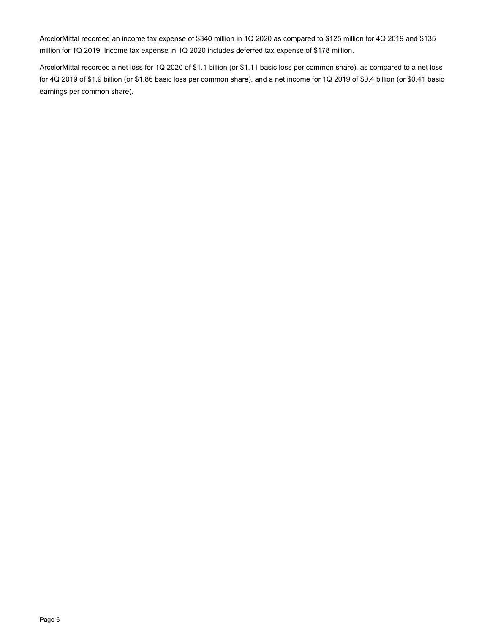ArcelorMittal recorded an income tax expense of \$340 million in 1Q 2020 as compared to \$125 million for 4Q 2019 and \$135 million for 1Q 2019. Income tax expense in 1Q 2020 includes deferred tax expense of \$178 million.

ArcelorMittal recorded a net loss for 1Q 2020 of \$1.1 billion (or \$1.11 basic loss per common share), as compared to a net loss for 4Q 2019 of \$1.9 billion (or \$1.86 basic loss per common share), and a net income for 1Q 2019 of \$0.4 billion (or \$0.41 basic earnings per common share).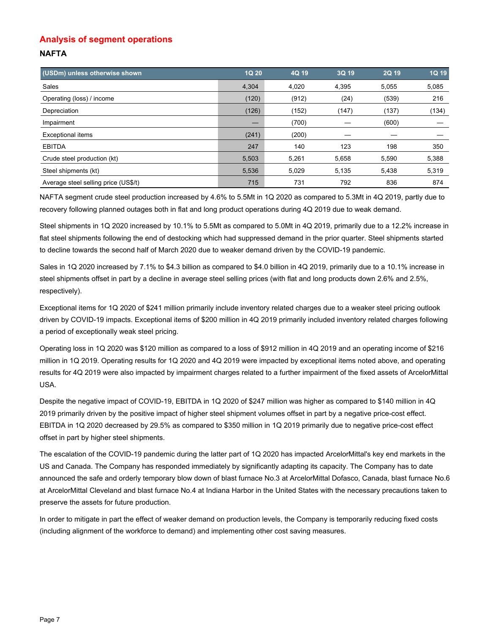# **Analysis of segment operations NAFTA**

| (USDm) unless otherwise shown        | 1Q 20 | 4Q 19 | 3Q 19 | 2Q 19 | 1Q 19 |
|--------------------------------------|-------|-------|-------|-------|-------|
| Sales                                | 4,304 | 4,020 | 4,395 | 5,055 | 5,085 |
| Operating (loss) / income            | (120) | (912) | (24)  | (539) | 216   |
| Depreciation                         | (126) | (152) | (147) | (137) | (134) |
| Impairment                           |       | (700) |       | (600) |       |
| <b>Exceptional items</b>             | (241) | (200) |       |       |       |
| <b>EBITDA</b>                        | 247   | 140   | 123   | 198   | 350   |
| Crude steel production (kt)          | 5,503 | 5,261 | 5,658 | 5,590 | 5,388 |
| Steel shipments (kt)                 | 5,536 | 5,029 | 5,135 | 5,438 | 5,319 |
| Average steel selling price (US\$/t) | 715   | 731   | 792   | 836   | 874   |

NAFTA segment crude steel production increased by 4.6% to 5.5Mt in 1Q 2020 as compared to 5.3Mt in 4Q 2019, partly due to recovery following planned outages both in flat and long product operations during 4Q 2019 due to weak demand.

Steel shipments in 1Q 2020 increased by 10.1% to 5.5Mt as compared to 5.0Mt in 4Q 2019, primarily due to a 12.2% increase in flat steel shipments following the end of destocking which had suppressed demand in the prior quarter. Steel shipments started to decline towards the second half of March 2020 due to weaker demand driven by the COVID-19 pandemic.

Sales in 1Q 2020 increased by 7.1% to \$4.3 billion as compared to \$4.0 billion in 4Q 2019, primarily due to a 10.1% increase in steel shipments offset in part by a decline in average steel selling prices (with flat and long products down 2.6% and 2.5%, respectively).

Exceptional items for 1Q 2020 of \$241 million primarily include inventory related charges due to a weaker steel pricing outlook driven by COVID-19 impacts. Exceptional items of \$200 million in 4Q 2019 primarily included inventory related charges following a period of exceptionally weak steel pricing.

Operating loss in 1Q 2020 was \$120 million as compared to a loss of \$912 million in 4Q 2019 and an operating income of \$216 million in 1Q 2019. Operating results for 1Q 2020 and 4Q 2019 were impacted by exceptional items noted above, and operating results for 4Q 2019 were also impacted by impairment charges related to a further impairment of the fixed assets of ArcelorMittal USA.

Despite the negative impact of COVID-19, EBITDA in 1Q 2020 of \$247 million was higher as compared to \$140 million in 4Q 2019 primarily driven by the positive impact of higher steel shipment volumes offset in part by a negative price-cost effect. EBITDA in 1Q 2020 decreased by 29.5% as compared to \$350 million in 1Q 2019 primarily due to negative price-cost effect offset in part by higher steel shipments.

The escalation of the COVID-19 pandemic during the latter part of 1Q 2020 has impacted ArcelorMittal's key end markets in the US and Canada. The Company has responded immediately by significantly adapting its capacity. The Company has to date announced the safe and orderly temporary blow down of blast furnace No.3 at ArcelorMittal Dofasco, Canada, blast furnace No.6 at ArcelorMittal Cleveland and blast furnace No.4 at Indiana Harbor in the United States with the necessary precautions taken to preserve the assets for future production.

In order to mitigate in part the effect of weaker demand on production levels, the Company is temporarily reducing fixed costs (including alignment of the workforce to demand) and implementing other cost saving measures.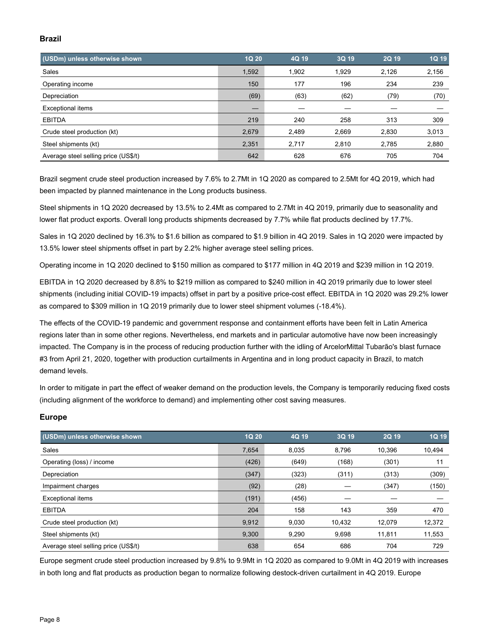## **Brazil**

| (USDm) unless otherwise shown        | 1Q 20 | 4Q 19 | 3Q 19 | 2Q 19 | 1Q 19 |
|--------------------------------------|-------|-------|-------|-------|-------|
| Sales                                | 1,592 | 1.902 | 1.929 | 2,126 | 2,156 |
| Operating income                     | 150   | 177   | 196   | 234   | 239   |
| Depreciation                         | (69)  | (63)  | (62)  | (79)  | (70)  |
| <b>Exceptional items</b>             | –     |       |       |       |       |
| <b>EBITDA</b>                        | 219   | 240   | 258   | 313   | 309   |
| Crude steel production (kt)          | 2,679 | 2,489 | 2,669 | 2,830 | 3,013 |
| Steel shipments (kt)                 | 2,351 | 2,717 | 2,810 | 2,785 | 2,880 |
| Average steel selling price (US\$/t) | 642   | 628   | 676   | 705   | 704   |

Brazil segment crude steel production increased by 7.6% to 2.7Mt in 1Q 2020 as compared to 2.5Mt for 4Q 2019, which had been impacted by planned maintenance in the Long products business.

Steel shipments in 1Q 2020 decreased by 13.5% to 2.4Mt as compared to 2.7Mt in 4Q 2019, primarily due to seasonality and lower flat product exports. Overall long products shipments decreased by 7.7% while flat products declined by 17.7%.

Sales in 1Q 2020 declined by 16.3% to \$1.6 billion as compared to \$1.9 billion in 4Q 2019. Sales in 1Q 2020 were impacted by 13.5% lower steel shipments offset in part by 2.2% higher average steel selling prices.

Operating income in 1Q 2020 declined to \$150 million as compared to \$177 million in 4Q 2019 and \$239 million in 1Q 2019.

EBITDA in 1Q 2020 decreased by 8.8% to \$219 million as compared to \$240 million in 4Q 2019 primarily due to lower steel shipments (including initial COVID-19 impacts) offset in part by a positive price-cost effect. EBITDA in 1Q 2020 was 29.2% lower as compared to \$309 million in 1Q 2019 primarily due to lower steel shipment volumes (-18.4%).

The effects of the COVID-19 pandemic and government response and containment efforts have been felt in Latin America regions later than in some other regions. Nevertheless, end markets and in particular automotive have now been increasingly impacted. The Company is in the process of reducing production further with the idling of ArcelorMittal Tubarão's blast furnace #3 from April 21, 2020, together with production curtailments in Argentina and in long product capacity in Brazil, to match demand levels.

In order to mitigate in part the effect of weaker demand on the production levels, the Company is temporarily reducing fixed costs (including alignment of the workforce to demand) and implementing other cost saving measures.

### **Europe**

| (USDm) unless otherwise shown        | 1Q 20 | 4Q 19 | 3Q 19  | 2Q 19  | 1Q 19  |
|--------------------------------------|-------|-------|--------|--------|--------|
| Sales                                | 7,654 | 8.035 | 8,796  | 10.396 | 10,494 |
| Operating (loss) / income            | (426) | (649) | (168)  | (301)  | 11     |
| Depreciation                         | (347) | (323) | (311)  | (313)  | (309)  |
| Impairment charges                   | (92)  | (28)  |        | (347)  | (150)  |
| <b>Exceptional items</b>             | (191) | (456) |        |        |        |
| <b>EBITDA</b>                        | 204   | 158   | 143    | 359    | 470    |
| Crude steel production (kt)          | 9,912 | 9,030 | 10,432 | 12,079 | 12,372 |
| Steel shipments (kt)                 | 9,300 | 9.290 | 9,698  | 11.811 | 11,553 |
| Average steel selling price (US\$/t) | 638   | 654   | 686    | 704    | 729    |

Europe segment crude steel production increased by 9.8% to 9.9Mt in 1Q 2020 as compared to 9.0Mt in 4Q 2019 with increases in both long and flat products as production began to normalize following destock-driven curtailment in 4Q 2019. Europe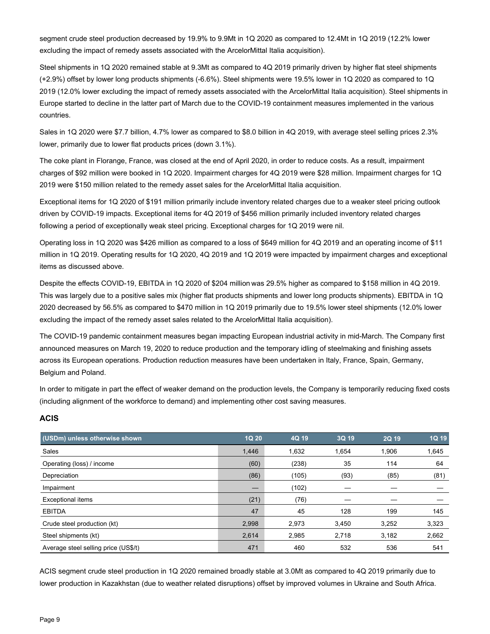segment crude steel production decreased by 19.9% to 9.9Mt in 1Q 2020 as compared to 12.4Mt in 1Q 2019 (12.2% lower excluding the impact of remedy assets associated with the ArcelorMittal Italia acquisition).

Steel shipments in 1Q 2020 remained stable at 9.3Mt as compared to 4Q 2019 primarily driven by higher flat steel shipments (+2.9%) offset by lower long products shipments (-6.6%). Steel shipments were 19.5% lower in 1Q 2020 as compared to 1Q 2019 (12.0% lower excluding the impact of remedy assets associated with the ArcelorMittal Italia acquisition). Steel shipments in Europe started to decline in the latter part of March due to the COVID-19 containment measures implemented in the various countries.

Sales in 1Q 2020 were \$7.7 billion, 4.7% lower as compared to \$8.0 billion in 4Q 2019, with average steel selling prices 2.3% lower, primarily due to lower flat products prices (down 3.1%).

The coke plant in Florange, France, was closed at the end of April 2020, in order to reduce costs. As a result, impairment charges of \$92 million were booked in 1Q 2020. Impairment charges for 4Q 2019 were \$28 million. Impairment charges for 1Q 2019 were \$150 million related to the remedy asset sales for the ArcelorMittal Italia acquisition.

Exceptional items for 1Q 2020 of \$191 million primarily include inventory related charges due to a weaker steel pricing outlook driven by COVID-19 impacts. Exceptional items for 4Q 2019 of \$456 million primarily included inventory related charges following a period of exceptionally weak steel pricing. Exceptional charges for 1Q 2019 were nil.

Operating loss in 1Q 2020 was \$426 million as compared to a loss of \$649 million for 4Q 2019 and an operating income of \$11 million in 1Q 2019. Operating results for 1Q 2020, 4Q 2019 and 1Q 2019 were impacted by impairment charges and exceptional items as discussed above.

Despite the effects COVID-19, EBITDA in 1Q 2020 of \$204 million was 29.5% higher as compared to \$158 million in 4Q 2019. This was largely due to a positive sales mix (higher flat products shipments and lower long products shipments). EBITDA in 1Q 2020 decreased by 56.5% as compared to \$470 million in 1Q 2019 primarily due to 19.5% lower steel shipments (12.0% lower excluding the impact of the remedy asset sales related to the ArcelorMittal Italia acquisition).

The COVID-19 pandemic containment measures began impacting European industrial activity in mid-March. The Company first announced measures on March 19, 2020 to reduce production and the temporary idling of steelmaking and finishing assets across its European operations. Production reduction measures have been undertaken in Italy, France, Spain, Germany, Belgium and Poland.

In order to mitigate in part the effect of weaker demand on the production levels, the Company is temporarily reducing fixed costs (including alignment of the workforce to demand) and implementing other cost saving measures.

## **ACIS**

| (USDm) unless otherwise shown        | 1Q 20 | 4Q 19 | 3Q 19 | 2Q 19 | 1Q 19 |
|--------------------------------------|-------|-------|-------|-------|-------|
| Sales                                | 1,446 | 1,632 | 1,654 | 1,906 | 1,645 |
| Operating (loss) / income            | (60)  | (238) | 35    | 114   | 64    |
| Depreciation                         | (86)  | (105) | (93)  | (85)  | (81)  |
| Impairment                           |       | (102) |       |       |       |
| <b>Exceptional items</b>             | (21)  | (76)  |       |       |       |
| <b>EBITDA</b>                        | 47    | 45    | 128   | 199   | 145   |
| Crude steel production (kt)          | 2,998 | 2,973 | 3,450 | 3,252 | 3,323 |
| Steel shipments (kt)                 | 2,614 | 2,985 | 2,718 | 3,182 | 2,662 |
| Average steel selling price (US\$/t) | 471   | 460   | 532   | 536   | 541   |

ACIS segment crude steel production in 1Q 2020 remained broadly stable at 3.0Mt as compared to 4Q 2019 primarily due to lower production in Kazakhstan (due to weather related disruptions) offset by improved volumes in Ukraine and South Africa.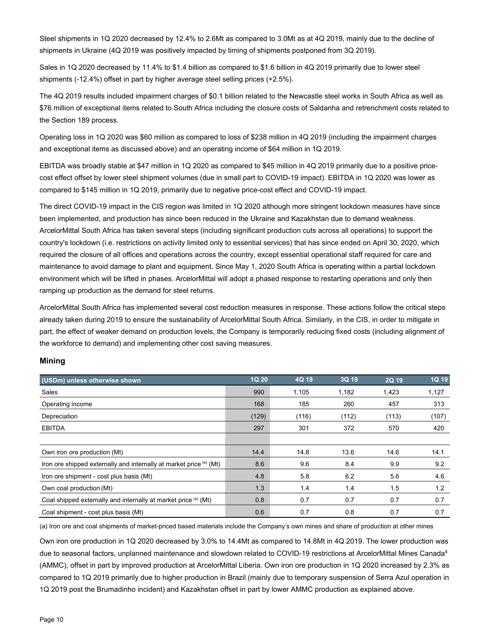Steel shipments in 1Q 2020 decreased by 12.4% to 2.6Mt as compared to 3.0Mt as at 4Q 2019, mainly due to the decline of shipments in Ukraine (4Q 2019 was positively impacted by timing of shipments postponed from 3Q 2019).

Sales in 1Q 2020 decreased by 11.4% to \$1.4 billion as compared to \$1.6 billion in 4Q 2019 primarily due to lower steel shipments (-12.4%) offset in part by higher average steel selling prices (+2.5%).

The 4Q 2019 results included impairment charges of \$0.1 billion related to the Newcastle steel works in South Africa as well as \$76 million of exceptional items related to South Africa including the closure costs of Saldanha and retrenchment costs related to the Section 189 process.

Operating loss in 1Q 2020 was \$60 million as compared to loss of \$238 million in 4Q 2019 (including the impairment charges and exceptional items as discussed above) and an operating income of \$64 million in 1Q 2019.

EBITDA was broadly stable at \$47 million in 1Q 2020 as compared to \$45 million in 4Q 2019 primarily due to a positive pricecost effect offset by lower steel shipment volumes (due in small part to COVID-19 impact). EBITDA in 1Q 2020 was lower as compared to \$145 million in 1Q 2019, primarily due to negative price-cost effect and COVID-19 impact.

The direct COVID-19 impact in the CIS region was limited in 1Q 2020 although more stringent lockdown measures have since been implemented, and production has since been reduced in the Ukraine and Kazakhstan due to demand weakness. ArcelorMittal South Africa has taken several steps (including significant production cuts across all operations) to support the country's lockdown (i.e. restrictions on activity limited only to essential services) that has since ended on April 30, 2020, which required the closure of all offices and operations across the country, except essential operational staff required for care and maintenance to avoid damage to plant and equipment. Since May 1, 2020 South Africa is operating within a partial lockdown environment which will be lifted in phases. ArcelorMittal will adopt a phased response to restarting operations and only then ramping up production as the demand for steel returns.

ArcelorMittal South Africa has implemented several cost reduction measures in response. These actions follow the critical steps already taken during 2019 to ensure the sustainability of ArcelorMittal South Africa. Similarly, in the CIS, in order to mitigate in part, the effect of weaker demand on production levels, the Company is temporarily reducing fixed costs (including alignment of the workforce to demand) and implementing other cost saving measures.

| (USDm) unless otherwise shown                                       | 1Q 20 | 4Q 19 | 3Q 19 | 2Q 19 | 1Q 19 |
|---------------------------------------------------------------------|-------|-------|-------|-------|-------|
| Sales                                                               | 990   | 1,105 | 1,182 | 1,423 | 1,127 |
| Operating income                                                    | 168   | 185   | 260   | 457   | 313   |
| Depreciation                                                        | (129) | (116) | (112) | (113) | (107) |
| <b>EBITDA</b>                                                       | 297   | 301   | 372   | 570   | 420   |
|                                                                     |       |       |       |       |       |
| Own iron ore production (Mt)                                        | 14.4  | 14.8  | 13.6  | 14.6  | 14.1  |
| Iron ore shipped externally and internally at market price (a) (Mt) | 8.6   | 9.6   | 8.4   | 9.9   | 9.2   |
| Iron ore shipment - cost plus basis (Mt)                            | 4.8   | 5.8   | 6.2   | 5.6   | 4.6   |
| Own coal production (Mt)                                            | 1.3   | 1.4   | 1.4   | 1.5   | 1.2   |
| Coal shipped externally and internally at market price (a) (Mt)     | 0.8   | 0.7   | 0.7   | 0.7   | 0.7   |
| Coal shipment - cost plus basis (Mt)                                | 0.6   | 0.7   | 0.8   | 0.7   | 0.7   |

## **Mining**

(a) Iron ore and coal shipments of market-priced based materials include the Company's own mines and share of production at other mines

Own iron ore production in 1Q 2020 decreased by 3.0% to 14.4Mt as compared to 14.8Mt in 4Q 2019. The lower production was due to seasonal factors, unplanned maintenance and slowdown related to COVID-19 restrictions at ArcelorMittal Mines Canada<sup>4</sup> (AMMC), offset in part by improved production at ArcelorMittal Liberia. Own iron ore production in 1Q 2020 increased by 2.3% as compared to 1Q 2019 primarily due to higher production in Brazil (mainly due to temporary suspension of Serra Azul operation in 1Q 2019 post the Brumadinho incident) and Kazakhstan offset in part by lower AMMC production as explained above.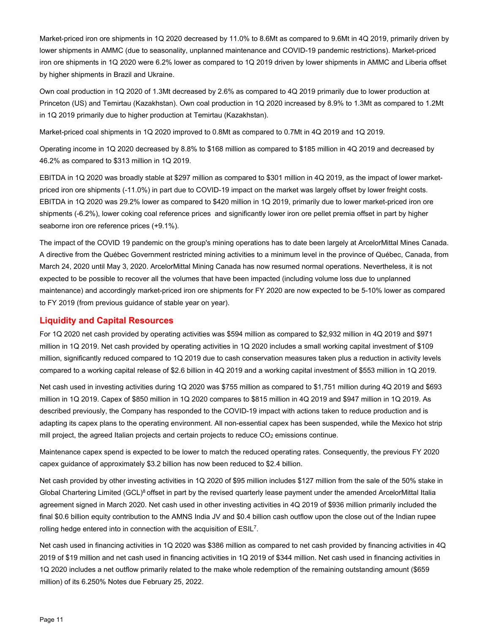Market-priced iron ore shipments in 1Q 2020 decreased by 11.0% to 8.6Mt as compared to 9.6Mt in 4Q 2019, primarily driven by lower shipments in AMMC (due to seasonality, unplanned maintenance and COVID-19 pandemic restrictions). Market-priced iron ore shipments in 1Q 2020 were 6.2% lower as compared to 1Q 2019 driven by lower shipments in AMMC and Liberia offset by higher shipments in Brazil and Ukraine.

Own coal production in 1Q 2020 of 1.3Mt decreased by 2.6% as compared to 4Q 2019 primarily due to lower production at Princeton (US) and Temirtau (Kazakhstan). Own coal production in 1Q 2020 increased by 8.9% to 1.3Mt as compared to 1.2Mt in 1Q 2019 primarily due to higher production at Temirtau (Kazakhstan).

Market-priced coal shipments in 1Q 2020 improved to 0.8Mt as compared to 0.7Mt in 4Q 2019 and 1Q 2019.

Operating income in 1Q 2020 decreased by 8.8% to \$168 million as compared to \$185 million in 4Q 2019 and decreased by 46.2% as compared to \$313 million in 1Q 2019.

EBITDA in 1Q 2020 was broadly stable at \$297 million as compared to \$301 million in 4Q 2019, as the impact of lower marketpriced iron ore shipments (-11.0%) in part due to COVID-19 impact on the market was largely offset by lower freight costs. EBITDA in 1Q 2020 was 29.2% lower as compared to \$420 million in 1Q 2019, primarily due to lower market-priced iron ore shipments (-6.2%), lower coking coal reference prices and significantly lower iron ore pellet premia offset in part by higher seaborne iron ore reference prices (+9.1%).

The impact of the COVID 19 pandemic on the group's mining operations has to date been largely at ArcelorMittal Mines Canada. A directive from the Québec Government restricted mining activities to a minimum level in the province of Québec, Canada, from March 24, 2020 until May 3, 2020. ArcelorMittal Mining Canada has now resumed normal operations. Nevertheless, it is not expected to be possible to recover all the volumes that have been impacted (including volume loss due to unplanned maintenance) and accordingly market-priced iron ore shipments for FY 2020 are now expected to be 5-10% lower as compared to FY 2019 (from previous guidance of stable year on year).

## **Liquidity and Capital Resources**

For 1Q 2020 net cash provided by operating activities was \$594 million as compared to \$2,932 million in 4Q 2019 and \$971 million in 1Q 2019. Net cash provided by operating activities in 1Q 2020 includes a small working capital investment of \$109 million, significantly reduced compared to 1Q 2019 due to cash conservation measures taken plus a reduction in activity levels compared to a working capital release of \$2.6 billion in 4Q 2019 and a working capital investment of \$553 million in 1Q 2019.

Net cash used in investing activities during 1Q 2020 was \$755 million as compared to \$1,751 million during 4Q 2019 and \$693 million in 1Q 2019. Capex of \$850 million in 1Q 2020 compares to \$815 million in 4Q 2019 and \$947 million in 1Q 2019. As described previously, the Company has responded to the COVID-19 impact with actions taken to reduce production and is adapting its capex plans to the operating environment. All non-essential capex has been suspended, while the Mexico hot strip mill project, the agreed Italian projects and certain projects to reduce  $CO<sub>2</sub>$  emissions continue.

Maintenance capex spend is expected to be lower to match the reduced operating rates. Consequently, the previous FY 2020 capex guidance of approximately \$3.2 billion has now been reduced to \$2.4 billion.

Net cash provided by other investing activities in 1Q 2020 of \$95 million includes \$127 million from the sale of the 50% stake in Global Chartering Limited (GCL)<sup>8</sup> offset in part by the revised quarterly lease payment under the amended ArcelorMittal Italia agreement signed in March 2020. Net cash used in other investing activities in 4Q 2019 of \$936 million primarily included the final \$0.6 billion equity contribution to the AMNS India JV and \$0.4 billion cash outflow upon the close out of the Indian rupee rolling hedge entered into in connection with the acquisition of ESIL7.

Net cash used in financing activities in 1Q 2020 was \$386 million as compared to net cash provided by financing activities in 4Q 2019 of \$19 million and net cash used in financing activities in 1Q 2019 of \$344 million. Net cash used in financing activities in 1Q 2020 includes a net outflow primarily related to the make whole redemption of the remaining outstanding amount (\$659 million) of its 6.250% Notes due February 25, 2022.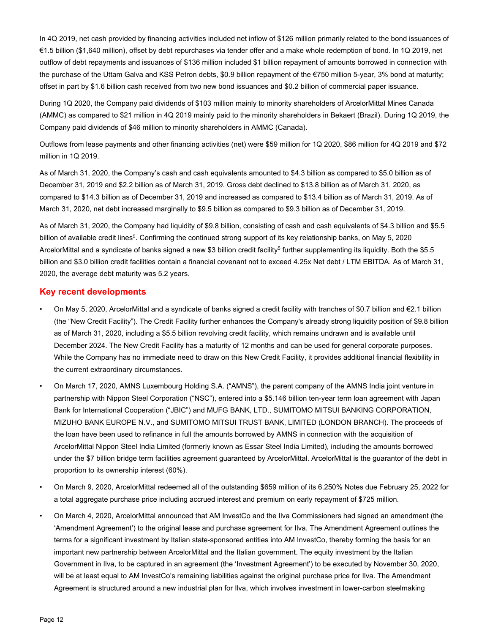In 4Q 2019, net cash provided by financing activities included net inflow of \$126 million primarily related to the bond issuances of €1.5 billion (\$1,640 million), offset by debt repurchases via tender offer and a make whole redemption of bond. In 1Q 2019, net outflow of debt repayments and issuances of \$136 million included \$1 billion repayment of amounts borrowed in connection with the purchase of the Uttam Galva and KSS Petron debts, \$0.9 billion repayment of the €750 million 5-year, 3% bond at maturity; offset in part by \$1.6 billion cash received from two new bond issuances and \$0.2 billion of commercial paper issuance.

During 1Q 2020, the Company paid dividends of \$103 million mainly to minority shareholders of ArcelorMittal Mines Canada (AMMC) as compared to \$21 million in 4Q 2019 mainly paid to the minority shareholders in Bekaert (Brazil). During 1Q 2019, the Company paid dividends of \$46 million to minority shareholders in AMMC (Canada).

Outflows from lease payments and other financing activities (net) were \$59 million for 1Q 2020, \$86 million for 4Q 2019 and \$72 million in 1Q 2019.

As of March 31, 2020, the Company's cash and cash equivalents amounted to \$4.3 billion as compared to \$5.0 billion as of December 31, 2019 and \$2.2 billion as of March 31, 2019. Gross debt declined to \$13.8 billion as of March 31, 2020, as compared to \$14.3 billion as of December 31, 2019 and increased as compared to \$13.4 billion as of March 31, 2019. As of March 31, 2020, net debt increased marginally to \$9.5 billion as compared to \$9.3 billion as of December 31, 2019.

As of March 31, 2020, the Company had liquidity of \$9.8 billion, consisting of cash and cash equivalents of \$4.3 billion and \$5.5 billion of available credit lines<sup>5</sup>. Confirming the continued strong support of its key relationship banks, on May 5, 2020 ArcelorMittal and a syndicate of banks signed a new \$3 billion credit facility<sup>5</sup> further supplementing its liquidity. Both the \$5.5 billion and \$3.0 billion credit facilities contain a financial covenant not to exceed 4.25x Net debt / LTM EBITDA. As of March 31, 2020, the average debt maturity was 5.2 years.

### **Key recent developments**

- On May 5, 2020, ArcelorMittal and a syndicate of banks signed a credit facility with tranches of \$0.7 billion and €2.1 billion (the "New Credit Facility"). The Credit Facility further enhances the Company's already strong liquidity position of \$9.8 billion as of March 31, 2020, including a \$5.5 billion revolving credit facility, which remains undrawn and is available until December 2024. The New Credit Facility has a maturity of 12 months and can be used for general corporate purposes. While the Company has no immediate need to draw on this New Credit Facility, it provides additional financial flexibility in the current extraordinary circumstances.
- On March 17, 2020, AMNS Luxembourg Holding S.A. ("AMNS"), the parent company of the AMNS India joint venture in partnership with Nippon Steel Corporation ("NSC"), entered into a \$5.146 billion ten-year term loan agreement with Japan Bank for International Cooperation ("JBIC") and MUFG BANK, LTD., SUMITOMO MITSUI BANKING CORPORATION, MIZUHO BANK EUROPE N.V., and SUMITOMO MITSUI TRUST BANK, LIMITED (LONDON BRANCH). The proceeds of the loan have been used to refinance in full the amounts borrowed by AMNS in connection with the acquisition of ArcelorMittal Nippon Steel India Limited (formerly known as Essar Steel India Limited), including the amounts borrowed under the \$7 billion bridge term facilities agreement guaranteed by ArcelorMittal. ArcelorMittal is the guarantor of the debt in proportion to its ownership interest (60%).
- On March 9, 2020, ArcelorMittal redeemed all of the outstanding \$659 million of its 6.250% Notes due February 25, 2022 for a total aggregate purchase price including accrued interest and premium on early repayment of \$725 million.
- On March 4, 2020, ArcelorMittal announced that AM InvestCo and the Ilva Commissioners had signed an amendment (the 'Amendment Agreement') to the original lease and purchase agreement for Ilva. The Amendment Agreement outlines the terms for a significant investment by Italian state-sponsored entities into AM InvestCo, thereby forming the basis for an important new partnership between ArcelorMittal and the Italian government. The equity investment by the Italian Government in Ilva, to be captured in an agreement (the 'Investment Agreement') to be executed by November 30, 2020, will be at least equal to AM InvestCo's remaining liabilities against the original purchase price for Ilva. The Amendment Agreement is structured around a new industrial plan for Ilva, which involves investment in lower-carbon steelmaking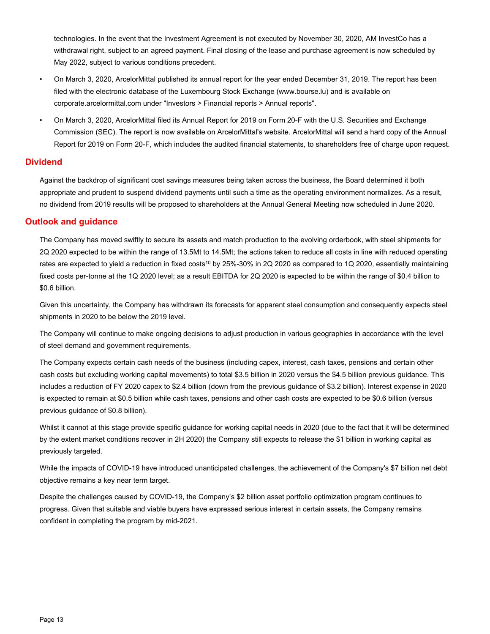technologies. In the event that the Investment Agreement is not executed by November 30, 2020, AM InvestCo has a withdrawal right, subject to an agreed payment. Final closing of the lease and purchase agreement is now scheduled by May 2022, subject to various conditions precedent.

- On March 3, 2020, ArcelorMittal published its annual report for the year ended December 31, 2019. The report has been filed with the electronic database of the Luxembourg Stock Exchange (www.bourse.lu) and is available on corporate.arcelormittal.com under "Investors > Financial reports > Annual reports".
- On March 3, 2020, ArcelorMittal filed its Annual Report for 2019 on Form 20-F with the U.S. Securities and Exchange Commission (SEC). The report is now available on ArcelorMittal's website. ArcelorMittal will send a hard copy of the Annual Report for 2019 on Form 20-F, which includes the audited financial statements, to shareholders free of charge upon request.

## **Dividend**

Against the backdrop of significant cost savings measures being taken across the business, the Board determined it both appropriate and prudent to suspend dividend payments until such a time as the operating environment normalizes. As a result, no dividend from 2019 results will be proposed to shareholders at the Annual General Meeting now scheduled in June 2020.

## **Outlook and guidance**

The Company has moved swiftly to secure its assets and match production to the evolving orderbook, with steel shipments for 2Q 2020 expected to be within the range of 13.5Mt to 14.5Mt; the actions taken to reduce all costs in line with reduced operating rates are expected to yield a reduction in fixed costs<sup>10</sup> by 25%-30% in 2Q 2020 as compared to 1Q 2020, essentially maintaining fixed costs per-tonne at the 1Q 2020 level; as a result EBITDA for 2Q 2020 is expected to be within the range of \$0.4 billion to \$0.6 billion.

Given this uncertainty, the Company has withdrawn its forecasts for apparent steel consumption and consequently expects steel shipments in 2020 to be below the 2019 level.

The Company will continue to make ongoing decisions to adjust production in various geographies in accordance with the level of steel demand and government requirements.

The Company expects certain cash needs of the business (including capex, interest, cash taxes, pensions and certain other cash costs but excluding working capital movements) to total \$3.5 billion in 2020 versus the \$4.5 billion previous guidance. This includes a reduction of FY 2020 capex to \$2.4 billion (down from the previous guidance of \$3.2 billion). Interest expense in 2020 is expected to remain at \$0.5 billion while cash taxes, pensions and other cash costs are expected to be \$0.6 billion (versus previous guidance of \$0.8 billion).

Whilst it cannot at this stage provide specific guidance for working capital needs in 2020 (due to the fact that it will be determined by the extent market conditions recover in 2H 2020) the Company still expects to release the \$1 billion in working capital as previously targeted.

While the impacts of COVID-19 have introduced unanticipated challenges, the achievement of the Company's \$7 billion net debt objective remains a key near term target.

Despite the challenges caused by COVID-19, the Company's \$2 billion asset portfolio optimization program continues to progress. Given that suitable and viable buyers have expressed serious interest in certain assets, the Company remains confident in completing the program by mid-2021.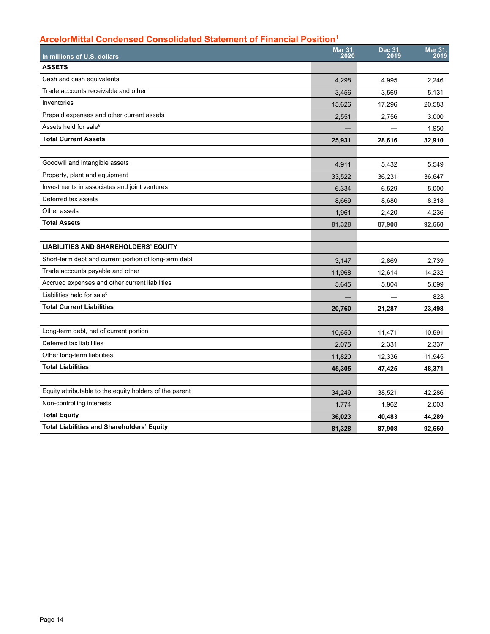# **ArcelorMittal Condensed Consolidated Statement of Financial Position1**

| In millions of U.S. dollars                             | <b>Mar 31,</b><br>2020 | Dec 31,<br>2019 | Mar 31,<br>2019 |
|---------------------------------------------------------|------------------------|-----------------|-----------------|
| <b>ASSETS</b>                                           |                        |                 |                 |
| Cash and cash equivalents                               | 4,298                  | 4,995           | 2.246           |
| Trade accounts receivable and other                     | 3,456                  | 3,569           | 5,131           |
| Inventories                                             | 15,626                 | 17,296          | 20,583          |
| Prepaid expenses and other current assets               | 2,551                  | 2,756           | 3,000           |
| Assets held for sale <sup>6</sup>                       |                        |                 | 1,950           |
| <b>Total Current Assets</b>                             | 25,931                 | 28,616          | 32,910          |
|                                                         |                        |                 |                 |
| Goodwill and intangible assets                          | 4,911                  | 5,432           | 5,549           |
| Property, plant and equipment                           | 33,522                 | 36.231          | 36.647          |
| Investments in associates and joint ventures            | 6,334                  | 6,529           | 5,000           |
| Deferred tax assets                                     | 8,669                  | 8,680           | 8,318           |
| Other assets                                            | 1,961                  | 2,420           | 4,236           |
| <b>Total Assets</b>                                     | 81,328                 | 87,908          | 92,660          |
|                                                         |                        |                 |                 |
| <b>LIABILITIES AND SHAREHOLDERS' EQUITY</b>             |                        |                 |                 |
| Short-term debt and current portion of long-term debt   | 3,147                  | 2,869           | 2,739           |
| Trade accounts payable and other                        | 11,968                 | 12,614          | 14,232          |
| Accrued expenses and other current liabilities          | 5,645                  | 5,804           | 5,699           |
| Liabilities held for sale <sup>6</sup>                  |                        |                 | 828             |
| <b>Total Current Liabilities</b>                        | 20,760                 | 21,287          | 23,498          |
|                                                         |                        |                 |                 |
| Long-term debt, net of current portion                  | 10,650                 | 11,471          | 10,591          |
| Deferred tax liabilities                                | 2,075                  | 2,331           | 2,337           |
| Other long-term liabilities                             | 11,820                 | 12,336          | 11,945          |
| <b>Total Liabilities</b>                                | 45,305                 | 47,425          | 48,371          |
|                                                         |                        |                 |                 |
| Equity attributable to the equity holders of the parent | 34,249                 | 38,521          | 42,286          |
| Non-controlling interests                               | 1,774                  | 1,962           | 2,003           |
| <b>Total Equity</b>                                     | 36,023                 | 40,483          | 44,289          |
| <b>Total Liabilities and Shareholders' Equity</b>       | 81,328                 | 87,908          | 92,660          |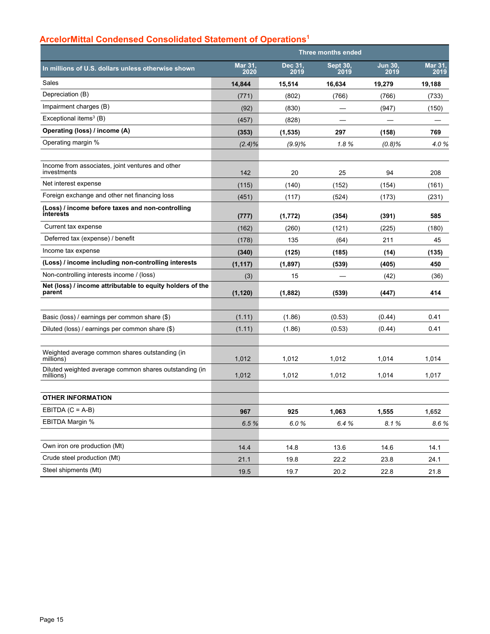# **ArcelorMittal Condensed Consolidated Statement of Operations1**

|                                                                     | <b>Three months ended</b> |                 |                         |                        |                 |
|---------------------------------------------------------------------|---------------------------|-----------------|-------------------------|------------------------|-----------------|
| In millions of U.S. dollars unless otherwise shown                  | Mar 31,<br>2020           | Dec 31,<br>2019 | <b>Sept 30,</b><br>2019 | <b>Jun 30.</b><br>2019 | Mar 31,<br>2019 |
| Sales                                                               | 14,844                    | 15,514          | 16,634                  | 19,279                 | 19,188          |
| Depreciation (B)                                                    | (771)                     | (802)           | (766)                   | (766)                  | (733)           |
| Impairment charges (B)                                              | (92)                      | (830)           |                         | (947)                  | (150)           |
| Exceptional items $3$ (B)                                           | (457)                     | (828)           |                         |                        |                 |
| Operating (loss) / income (A)                                       | (353)                     | (1,535)         | 297                     | (158)                  | 769             |
| Operating margin %                                                  | $(2.4)\%$                 | (9.9)%          | 1.8%                    | (0.8%                  | 4.0%            |
| Income from associates, joint ventures and other<br>investments     | 142                       | 20              | 25                      | 94                     | 208             |
| Net interest expense                                                | (115)                     | (140)           | (152)                   | (154)                  | (161)           |
| Foreign exchange and other net financing loss                       | (451)                     | (117)           | (524)                   | (173)                  | (231)           |
| (Loss) / income before taxes and non-controlling<br>interests       | (777)                     | (1,772)         | (354)                   | (391)                  | 585             |
| Current tax expense                                                 | (162)                     | (260)           | (121)                   | (225)                  | (180)           |
| Deferred tax (expense) / benefit                                    | (178)                     | 135             | (64)                    | 211                    | 45              |
| Income tax expense                                                  | (340)                     | (125)           | (185)                   | (14)                   | (135)           |
| (Loss) / income including non-controlling interests                 | (1, 117)                  | (1,897)         | (539)                   | (405)                  | 450             |
| Non-controlling interests income / (loss)                           | (3)                       | 15              |                         | (42)                   | (36)            |
| Net (loss) / income attributable to equity holders of the<br>parent | (1, 120)                  | (1,882)         | (539)                   | (447)                  | 414             |
|                                                                     |                           |                 |                         |                        |                 |
| Basic (loss) / earnings per common share (\$)                       | (1.11)                    | (1.86)          | (0.53)                  | (0.44)                 | 0.41            |
| Diluted (loss) / earnings per common share (\$)                     | (1.11)                    | (1.86)          | (0.53)                  | (0.44)                 | 0.41            |
| Weighted average common shares outstanding (in<br>millions)         | 1,012                     | 1,012           | 1,012                   | 1,014                  | 1,014           |
| Diluted weighted average common shares outstanding (in<br>millions) | 1,012                     | 1,012           | 1,012                   | 1,014                  | 1,017           |
| <b>OTHER INFORMATION</b>                                            |                           |                 |                         |                        |                 |
| EBITDA $(C = A-B)$                                                  | 967                       | 925             | 1,063                   | 1,555                  | 1,652           |
| EBITDA Margin %                                                     | 6.5%                      | 6.0%            | 6.4%                    | 8.1%                   | 8.6%            |
| Own iron ore production (Mt)                                        |                           |                 |                         |                        |                 |
|                                                                     | 14.4                      | 14.8            | 13.6                    | 14.6                   | 14.1            |
| Crude steel production (Mt)                                         | 21.1                      | 19.8            | 22.2                    | 23.8                   | 24.1            |
| Steel shipments (Mt)                                                | 19.5                      | 19.7            | 20.2                    | 22.8                   | 21.8            |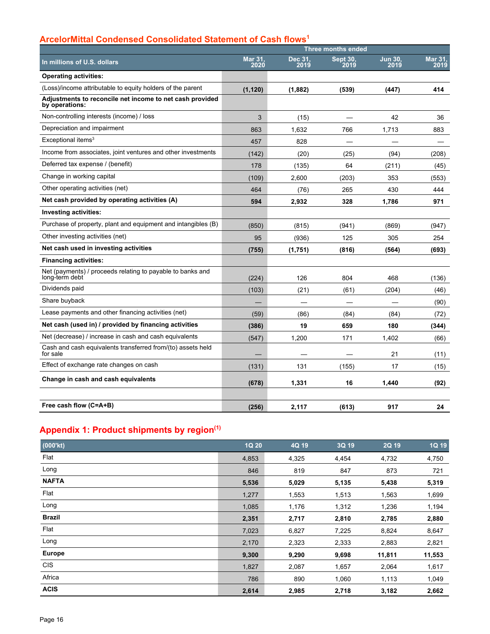# **ArcelorMittal Condensed Consolidated Statement of Cash flows1**

|                                                                              | <b>Three months ended</b> |                 |                         |                        |                        |
|------------------------------------------------------------------------------|---------------------------|-----------------|-------------------------|------------------------|------------------------|
| In millions of U.S. dollars                                                  | <b>Mar 31.</b><br>2020    | Dec 31,<br>2019 | <b>Sept 30.</b><br>2019 | <b>Jun 30.</b><br>2019 | <b>Mar 31.</b><br>2019 |
| <b>Operating activities:</b>                                                 |                           |                 |                         |                        |                        |
| (Loss)/income attributable to equity holders of the parent                   | (1, 120)                  | (1,882)         | (539)                   | (447)                  | 414                    |
| Adjustments to reconcile net income to net cash provided<br>by operations:   |                           |                 |                         |                        |                        |
| Non-controlling interests (income) / loss                                    | 3                         | (15)            |                         | 42                     | 36                     |
| Depreciation and impairment                                                  | 863                       | 1,632           | 766                     | 1,713                  | 883                    |
| Exceptional items <sup>3</sup>                                               | 457                       | 828             |                         |                        |                        |
| Income from associates, joint ventures and other investments                 | (142)                     | (20)            | (25)                    | (94)                   | (208)                  |
| Deferred tax expense / (benefit)                                             | 178                       | (135)           | 64                      | (211)                  | (45)                   |
| Change in working capital                                                    | (109)                     | 2,600           | (203)                   | 353                    | (553)                  |
| Other operating activities (net)                                             | 464                       | (76)            | 265                     | 430                    | 444                    |
| Net cash provided by operating activities (A)                                | 594                       | 2,932           | 328                     | 1,786                  | 971                    |
| Investing activities:                                                        |                           |                 |                         |                        |                        |
| Purchase of property, plant and equipment and intangibles (B)                | (850)                     | (815)           | (941)                   | (869)                  | (947)                  |
| Other investing activities (net)                                             | 95                        | (936)           | 125                     | 305                    | 254                    |
| Net cash used in investing activities                                        | (755)                     | (1,751)         | (816)                   | (564)                  | (693)                  |
| <b>Financing activities:</b>                                                 |                           |                 |                         |                        |                        |
| Net (payments) / proceeds relating to payable to banks and<br>long-term debt | (224)                     | 126             | 804                     | 468                    | (136)                  |
| Dividends paid                                                               | (103)                     | (21)            | (61)                    | (204)                  | (46)                   |
| Share buyback                                                                |                           |                 |                         |                        | (90)                   |
| Lease payments and other financing activities (net)                          | (59)                      | (86)            | (84)                    | (84)                   | (72)                   |
| Net cash (used in) / provided by financing activities                        | (386)                     | 19              | 659                     | 180                    | (344)                  |
| Net (decrease) / increase in cash and cash equivalents                       | (547)                     | 1,200           | 171                     | 1,402                  | (66)                   |
| Cash and cash equivalents transferred from/(to) assets held<br>for sale      |                           |                 |                         | 21                     | (11)                   |
| Effect of exchange rate changes on cash                                      | (131)                     | 131             | (155)                   | 17                     | (15)                   |
| Change in cash and cash equivalents                                          | (678)                     | 1,331           | 16                      | 1,440                  | (92)                   |
|                                                                              |                           |                 |                         |                        |                        |
| Free cash flow (C=A+B)                                                       | (256)                     | 2,117           | (613)                   | 917                    | 24                     |

# **Appendix 1: Product shipments by region(1)**

| (000'kt)      | 1Q 20 | 4Q 19 | 3Q 19 | 2Q 19  | <b>1Q 19</b> |
|---------------|-------|-------|-------|--------|--------------|
| Flat          | 4,853 | 4,325 | 4,454 | 4,732  | 4,750        |
| Long          | 846   | 819   | 847   | 873    | 721          |
| <b>NAFTA</b>  | 5,536 | 5,029 | 5,135 | 5,438  | 5,319        |
| Flat          | 1,277 | 1,553 | 1,513 | 1,563  | 1,699        |
| Long          | 1,085 | 1,176 | 1,312 | 1,236  | 1,194        |
| <b>Brazil</b> | 2,351 | 2,717 | 2,810 | 2,785  | 2,880        |
| Flat          | 7,023 | 6,827 | 7,225 | 8,824  | 8,647        |
| Long          | 2,170 | 2,323 | 2,333 | 2,883  | 2,821        |
| <b>Europe</b> | 9,300 | 9,290 | 9,698 | 11,811 | 11,553       |
| <b>CIS</b>    | 1,827 | 2,087 | 1,657 | 2,064  | 1,617        |
| Africa        | 786   | 890   | 1,060 | 1,113  | 1,049        |
| <b>ACIS</b>   | 2,614 | 2,985 | 2,718 | 3,182  | 2,662        |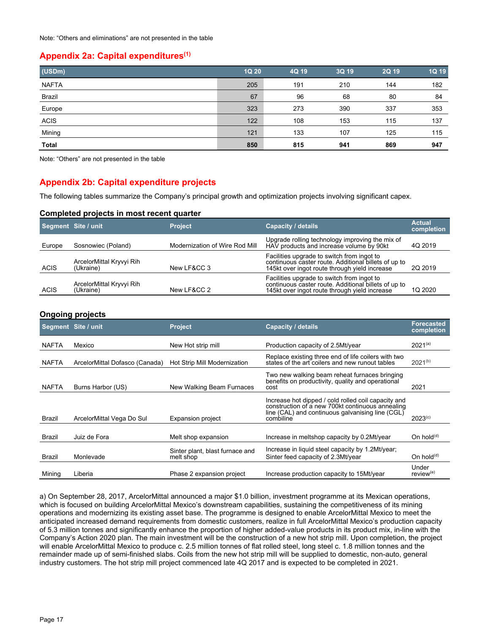## **Appendix 2a: Capital expenditures(1)**

| (USDm)       | 1Q 20 | 4Q 19 | 3Q 19 | 2Q 19 | 1Q 19 |
|--------------|-------|-------|-------|-------|-------|
| <b>NAFTA</b> | 205   | 191   | 210   | 144   | 182   |
| Brazil       | 67    | 96    | 68    | 80    | 84    |
| Europe       | 323   | 273   | 390   | 337   | 353   |
| <b>ACIS</b>  | 122   | 108   | 153   | 115   | 137   |
| Mining       | 121   | 133   | 107   | 125   | 115   |
| <b>Total</b> | 850   | 815   | 941   | 869   | 947   |

Note: "Others" are not presented in the table

## **Appendix 2b: Capital expenditure projects**

The following tables summarize the Company's principal growth and optimization projects involving significant capex.

### **Completed projects in most recent quarter**

|             | Segment Site / unit                   | <b>Project</b>                 | <b>Capacity / details</b>                                                                                                                           | <b>Actual</b><br>completion |
|-------------|---------------------------------------|--------------------------------|-----------------------------------------------------------------------------------------------------------------------------------------------------|-----------------------------|
| Europe      | Sosnowiec (Poland)                    | Modernization of Wire Rod Mill | Upgrade rolling technology improving the mix of<br>HAV products and increase volume by 90kt                                                         | 4Q 2019                     |
| ACIS        | ArcelorMittal Kryvyi Rih<br>(Ukraine) | New LF&CC 3                    | Facilities upgrade to switch from ingot to<br>continuous caster route. Additional billets of up to<br>145kt over ingot route through yield increase | 2Q 2019                     |
| <b>ACIS</b> | ArcelorMittal Kryvyi Rih<br>(Ukraine) | New LF&CC 2                    | Facilities upgrade to switch from ingot to<br>continuous caster route. Additional billets of up to<br>145kt over ingot route through yield increase | 1Q 2020                     |

## **Ongoing projects**

|              | Segment Site / unit            | <b>Project</b>                               | Capacity / details                                                                                                                                                       | <b>Forecasted</b><br>completion |
|--------------|--------------------------------|----------------------------------------------|--------------------------------------------------------------------------------------------------------------------------------------------------------------------------|---------------------------------|
| <b>NAFTA</b> | Mexico                         | New Hot strip mill                           | Production capacity of 2.5Mt/year                                                                                                                                        | $2021^{(a)}$                    |
| <b>NAFTA</b> | ArcelorMittal Dofasco (Canada) | Hot Strip Mill Modernization                 | Replace existing three end of life coilers with two<br>states of the art coilers and new runout tables                                                                   | $2021^{(b)}$                    |
| <b>NAFTA</b> | Burns Harbor (US)              | New Walking Beam Furnaces                    | Two new walking beam reheat furnaces bringing<br>benefits on productivity, quality and operational<br>cost                                                               | 2021                            |
| Brazil       | ArcelorMittal Vega Do Sul      | <b>Expansion project</b>                     | Increase hot dipped / cold rolled coil capacity and<br>construction of a new 700kt continuous annealing<br>line (CAL) and continuous galvanising line (CGL)<br>combiline | $2023^{(c)}$                    |
| Brazil       | Juiz de Fora                   | Melt shop expansion                          | Increase in meltshop capacity by 0.2Mt/year                                                                                                                              | On hold $(d)$                   |
| Brazil       | Monlevade                      | Sinter plant, blast furnace and<br>melt shop | Increase in liquid steel capacity by 1.2Mt/year;<br>Sinter feed capacity of 2.3Mt/year                                                                                   | On hold $(d)$                   |
| Mining       | Liberia                        | Phase 2 expansion project                    | Increase production capacity to 15Mt/year                                                                                                                                | Under<br>$review^{(e)}$         |

a) On September 28, 2017, ArcelorMittal announced a major \$1.0 billion, investment programme at its Mexican operations, which is focused on building ArcelorMittal Mexico's downstream capabilities, sustaining the competitiveness of its mining operations and modernizing its existing asset base. The programme is designed to enable ArcelorMittal Mexico to meet the anticipated increased demand requirements from domestic customers, realize in full ArcelorMittal Mexico's production capacity of 5.3 million tonnes and significantly enhance the proportion of higher added-value products in its product mix, in-line with the Company's Action 2020 plan. The main investment will be the construction of a new hot strip mill. Upon completion, the project will enable ArcelorMittal Mexico to produce c. 2.5 million tonnes of flat rolled steel, long steel c. 1.8 million tonnes and the remainder made up of semi-finished slabs. Coils from the new hot strip mill will be supplied to domestic, non-auto, general industry customers. The hot strip mill project commenced late 4Q 2017 and is expected to be completed in 2021.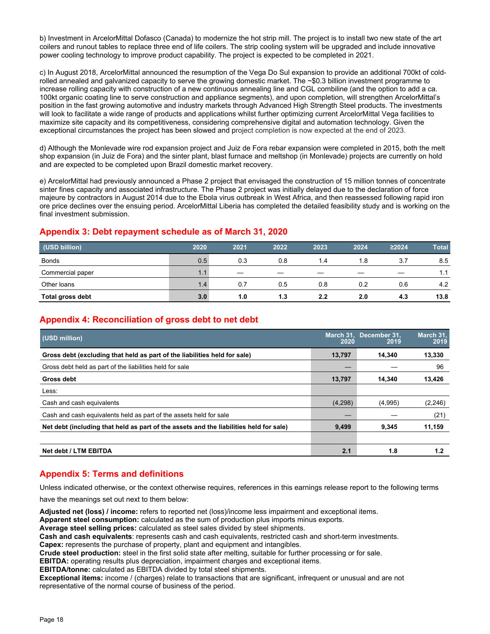b) Investment in ArcelorMittal Dofasco (Canada) to modernize the hot strip mill. The project is to install two new state of the art coilers and runout tables to replace three end of life coilers. The strip cooling system will be upgraded and include innovative power cooling technology to improve product capability. The project is expected to be completed in 2021.

c) In August 2018, ArcelorMittal announced the resumption of the Vega Do Sul expansion to provide an additional 700kt of coldrolled annealed and galvanized capacity to serve the growing domestic market. The ~\$0.3 billion investment programme to increase rolling capacity with construction of a new continuous annealing line and CGL combiline (and the option to add a ca. 100kt organic coating line to serve construction and appliance segments), and upon completion, will strengthen ArcelorMittal's position in the fast growing automotive and industry markets through Advanced High Strength Steel products. The investments will look to facilitate a wide range of products and applications whilst further optimizing current ArcelorMittal Vega facilities to maximize site capacity and its competitiveness, considering comprehensive digital and automation technology. Given the exceptional circumstances the project has been slowed and project completion is now expected at the end of 2023.

d) Although the Monlevade wire rod expansion project and Juiz de Fora rebar expansion were completed in 2015, both the melt shop expansion (in Juiz de Fora) and the sinter plant, blast furnace and meltshop (in Monlevade) projects are currently on hold and are expected to be completed upon Brazil domestic market recovery.

e) ArcelorMittal had previously announced a Phase 2 project that envisaged the construction of 15 million tonnes of concentrate sinter fines capacity and associated infrastructure. The Phase 2 project was initially delayed due to the declaration of force majeure by contractors in August 2014 due to the Ebola virus outbreak in West Africa, and then reassessed following rapid iron ore price declines over the ensuing period. ArcelorMittal Liberia has completed the detailed feasibility study and is working on the final investment submission.

## **Appendix 3: Debt repayment schedule as of March 31, 2020**

| (USD billion)    | 2020 | 2021 | 2022 | 2023 | 2024                     | ≥2024 | <b>Total</b> |
|------------------|------|------|------|------|--------------------------|-------|--------------|
| <b>Bonds</b>     | 0.5  | 0.3  | 0.8  | 1.4  | 1.8                      | 3.7   | 8.5          |
| Commercial paper | 1.1  |      |      |      | $\overline{\phantom{a}}$ |       | 1.1          |
| Other loans      | 1.4  | 0.7  | 0.5  | 0.8  | 0.2                      | 0.6   | 4.2          |
| Total gross debt | 3.0  | 1.0  | 1.3  | 2.2  | 2.0                      | 4.3   | 13.8         |

# **Appendix 4: Reconciliation of gross debt to net debt**

| (USD million)                                                                          | 2020    | March 31, December 31,<br>2019 | March 31,<br>2019 |
|----------------------------------------------------------------------------------------|---------|--------------------------------|-------------------|
| Gross debt (excluding that held as part of the liabilities held for sale)              | 13,797  | 14.340                         | 13,330            |
| Gross debt held as part of the liabilities held for sale                               |         |                                | 96                |
| Gross debt                                                                             | 13,797  | 14.340                         | 13,426            |
| Less:                                                                                  |         |                                |                   |
| Cash and cash equivalents                                                              | (4,298) | (4,995)                        | (2, 246)          |
| Cash and cash equivalents held as part of the assets held for sale                     |         |                                | (21)              |
| Net debt (including that held as part of the assets and the liabilities held for sale) | 9,499   | 9,345                          | 11,159            |
| Net debt / LTM EBITDA                                                                  | 2.1     | 1.8                            | 1.2               |

## **Appendix 5: Terms and definitions**

Unless indicated otherwise, or the context otherwise requires, references in this earnings release report to the following terms

have the meanings set out next to them below:

**Adjusted net (loss) / income:** refers to reported net (loss)/income less impairment and exceptional items.

**Apparent steel consumption:** calculated as the sum of production plus imports minus exports.

**Average steel selling prices:** calculated as steel sales divided by steel shipments.

**Cash and cash equivalents**: represents cash and cash equivalents, restricted cash and short-term investments.

**Capex:** represents the purchase of property, plant and equipment and intangibles.

**Crude steel production:** steel in the first solid state after melting, suitable for further processing or for sale.

**EBITDA:** operating results plus depreciation, impairment charges and exceptional items.

**EBITDA/tonne:** calculated as EBITDA divided by total steel shipments.

**Exceptional items:** income / (charges) relate to transactions that are significant, infrequent or unusual and are not representative of the normal course of business of the period.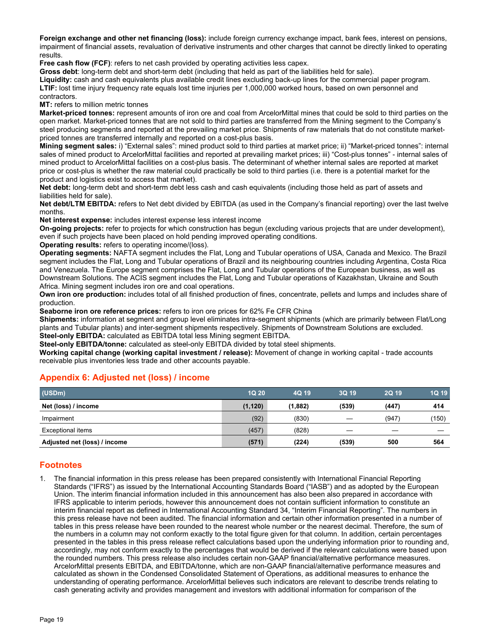**Foreign exchange and other net financing (loss):** include foreign currency exchange impact, bank fees, interest on pensions, impairment of financial assets, revaluation of derivative instruments and other charges that cannot be directly linked to operating results.

**Free cash flow (FCF):** refers to net cash provided by operating activities less capex.

**Gross debt**: long-term debt and short-term debt (including that held as part of the liabilities held for sale).

**Liquidity:** cash and cash equivalents plus available credit lines excluding back-up lines for the commercial paper program. **LTIF:** lost time injury frequency rate equals lost time injuries per 1,000,000 worked hours, based on own personnel and contractors.

**MT:** refers to million metric tonnes

**Market-priced tonnes:** represent amounts of iron ore and coal from ArcelorMittal mines that could be sold to third parties on the open market. Market-priced tonnes that are not sold to third parties are transferred from the Mining segment to the Company's steel producing segments and reported at the prevailing market price. Shipments of raw materials that do not constitute marketpriced tonnes are transferred internally and reported on a cost-plus basis.

**Mining segment sales:** i) "External sales": mined product sold to third parties at market price; ii) "Market-priced tonnes": internal sales of mined product to ArcelorMittal facilities and reported at prevailing market prices; iii) "Cost-plus tonnes" - internal sales of mined product to ArcelorMittal facilities on a cost-plus basis. The determinant of whether internal sales are reported at market price or cost-plus is whether the raw material could practically be sold to third parties (i.e. there is a potential market for the product and logistics exist to access that market).

**Net debt:** long-term debt and short-term debt less cash and cash equivalents (including those held as part of assets and liabilities held for sale).

**Net debt/LTM EBITDA:** refers to Net debt divided by EBITDA (as used in the Company's financial reporting) over the last twelve months.

**Net interest expense:** includes interest expense less interest income

**On-going projects:** refer to projects for which construction has begun (excluding various projects that are under development), even if such projects have been placed on hold pending improved operating conditions.

**Operating results:** refers to operating income/(loss).

**Operating segments:** NAFTA segment includes the Flat, Long and Tubular operations of USA, Canada and Mexico. The Brazil segment includes the Flat, Long and Tubular operations of Brazil and its neighbouring countries including Argentina, Costa Rica and Venezuela. The Europe segment comprises the Flat, Long and Tubular operations of the European business, as well as Downstream Solutions. The ACIS segment includes the Flat, Long and Tubular operations of Kazakhstan, Ukraine and South Africa. Mining segment includes iron ore and coal operations.

**Own iron ore production:** includes total of all finished production of fines, concentrate, pellets and lumps and includes share of production.

**Seaborne iron ore reference prices:** refers to iron ore prices for 62% Fe CFR China

**Shipments:** information at segment and group level eliminates intra-segment shipments (which are primarily between Flat/Long plants and Tubular plants) and inter-segment shipments respectively. Shipments of Downstream Solutions are excluded. **Steel-only EBITDA:** calculated as EBITDA total less Mining segment EBITDA.

**Steel-only EBITDA/tonne:** calculated as steel-only EBITDA divided by total steel shipments.

**Working capital change (working capital investment / release):** Movement of change in working capital - trade accounts receivable plus inventories less trade and other accounts payable.

| (USDm)                       | <b>1Q 20</b> | 4Q 19   | 3Q 19 | <b>2Q 19</b> | 1Q 19 |
|------------------------------|--------------|---------|-------|--------------|-------|
| Net (loss) / income          | (1, 120)     | (1,882) | (539) | (447)        | 414   |
| Impairment                   | (92)         | (830)   |       | (947)        | (150) |
| Exceptional items            | (457)        | (828)   |       |              |       |
| Adjusted net (loss) / income | (571)        | (224)   | (539) | 500          | 564   |

### **Appendix 6: Adjusted net (loss) / income**

## **Footnotes**

1. The financial information in this press release has been prepared consistently with International Financial Reporting Standards ("IFRS") as issued by the International Accounting Standards Board ("IASB") and as adopted by the European Union. The interim financial information included in this announcement has also been also prepared in accordance with IFRS applicable to interim periods, however this announcement does not contain sufficient information to constitute an interim financial report as defined in International Accounting Standard 34, "Interim Financial Reporting". The numbers in this press release have not been audited. The financial information and certain other information presented in a number of tables in this press release have been rounded to the nearest whole number or the nearest decimal. Therefore, the sum of the numbers in a column may not conform exactly to the total figure given for that column. In addition, certain percentages presented in the tables in this press release reflect calculations based upon the underlying information prior to rounding and, accordingly, may not conform exactly to the percentages that would be derived if the relevant calculations were based upon the rounded numbers. This press release also includes certain non-GAAP financial/alternative performance measures. ArcelorMittal presents EBITDA, and EBITDA/tonne, which are non-GAAP financial/alternative performance measures and calculated as shown in the Condensed Consolidated Statement of Operations, as additional measures to enhance the understanding of operating performance. ArcelorMittal believes such indicators are relevant to describe trends relating to cash generating activity and provides management and investors with additional information for comparison of the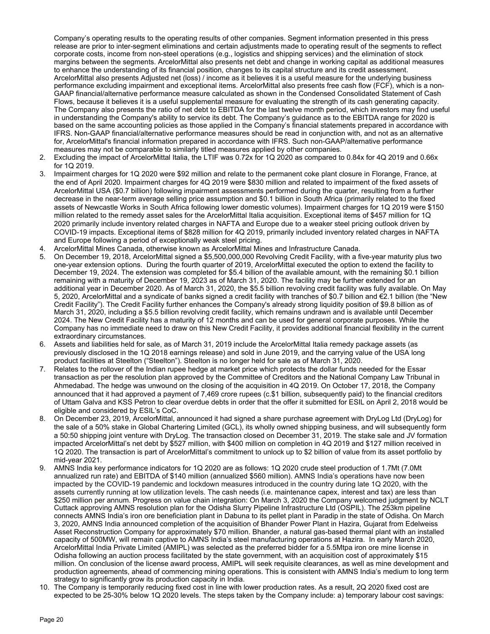Company's operating results to the operating results of other companies. Segment information presented in this press release are prior to inter-segment eliminations and certain adjustments made to operating result of the segments to reflect corporate costs, income from non-steel operations (e.g., logistics and shipping services) and the elimination of stock margins between the segments. ArcelorMittal also presents net debt and change in working capital as additional measures to enhance the understanding of its financial position, changes to its capital structure and its credit assessment. ArcelorMittal also presents Adjusted net (loss) / income as it believes it is a useful measure for the underlying business performance excluding impairment and exceptional items. ArcelorMittal also presents free cash flow (FCF), which is a non-GAAP financial/alternative performance measure calculated as shown in the Condensed Consolidated Statement of Cash Flows, because it believes it is a useful supplemental measure for evaluating the strength of its cash generating capacity. The Company also presents the ratio of net debt to EBITDA for the last twelve month period, which investors may find useful in understanding the Company's ability to service its debt. The Company's guidance as to the EBITDA range for 2020 is based on the same accounting policies as those applied in the Company's financial statements prepared in accordance with IFRS. Non-GAAP financial/alternative performance measures should be read in conjunction with, and not as an alternative for, ArcelorMittal's financial information prepared in accordance with IFRS. Such non-GAAP/alternative performance measures may not be comparable to similarly titled measures applied by other companies.

- 2. Excluding the impact of ArcelorMittal Italia, the LTIF was 0.72x for 1Q 2020 as compared to 0.84x for 4Q 2019 and 0.66x for 1Q 2019.
- 3. Impairment charges for 1Q 2020 were \$92 million and relate to the permanent coke plant closure in Florange, France, at the end of April 2020. Impairment charges for 4Q 2019 were \$830 million and related to impairment of the fixed assets of ArcelorMittal USA (\$0.7 billion) following impairment assessments performed during the quarter, resulting from a further decrease in the near-term average selling price assumption and \$0.1 billion in South Africa (primarily related to the fixed assets of Newcastle Works in South Africa following lower domestic volumes). Impairment charges for 1Q 2019 were \$150 million related to the remedy asset sales for the ArcelorMittal Italia acquisition. Exceptional items of \$457 million for 1Q 2020 primarily include inventory related charges in NAFTA and Europe due to a weaker steel pricing outlook driven by COVID-19 impacts. Exceptional items of \$828 million for 4Q 2019, primarily included inventory related charges in NAFTA and Europe following a period of exceptionally weak steel pricing.
- 4. ArcelorMittal Mines Canada, otherwise known as ArcelorMittal Mines and Infrastructure Canada.
- 5. On December 19, 2018, ArcelorMittal signed a \$5,500,000,000 Revolving Credit Facility, with a five-year maturity plus two one-year extension options. During the fourth quarter of 2019, ArcelorMittal executed the option to extend the facility to December 19, 2024. The extension was completed for \$5.4 billion of the available amount, with the remaining \$0.1 billion remaining with a maturity of December 19, 2023 as of March 31, 2020. The facility may be further extended for an additional year in December 2020. As of March 31, 2020, the \$5.5 billion revolving credit facility was fully available. On May 5, 2020, ArcelorMittal and a syndicate of banks signed a credit facility with tranches of \$0.7 billion and €2.1 billion (the "New Credit Facility"). The Credit Facility further enhances the Company's already strong liquidity position of \$9.8 billion as of March 31, 2020, including a \$5.5 billion revolving credit facility, which remains undrawn and is available until December 2024. The New Credit Facility has a maturity of 12 months and can be used for general corporate purposes. While the Company has no immediate need to draw on this New Credit Facility, it provides additional financial flexibility in the current extraordinary circumstances.
- 6. Assets and liabilities held for sale, as of March 31, 2019 include the ArcelorMittal Italia remedy package assets (as previously disclosed in the 1Q 2018 earnings release) and sold in June 2019, and the carrying value of the USA long product facilities at Steelton ("Steelton"). Steelton is no longer held for sale as of March 31, 2020.
- 7. Relates to the rollover of the Indian rupee hedge at market price which protects the dollar funds needed for the Essar transaction as per the resolution plan approved by the Committee of Creditors and the National Company Law Tribunal in Ahmedabad. The hedge was unwound on the closing of the acquisition in 4Q 2019. On October 17, 2018, the Company announced that it had approved a payment of 7,469 crore rupees (c.\$1 billion, subsequently paid) to the financial creditors of Uttam Galva and KSS Petron to clear overdue debts in order that the offer it submitted for ESIL on April 2, 2018 would be eligible and considered by ESIL's CoC.
- 8. On December 23, 2019, ArcelorMittal, announced it had signed a share purchase agreement with DryLog Ltd (DryLog) for the sale of a 50% stake in Global Chartering Limited (GCL), its wholly owned shipping business, and will subsequently form a 50:50 shipping joint venture with DryLog. The transaction closed on December 31, 2019. The stake sale and JV formation impacted ArcelorMittal's net debt by \$527 million, with \$400 million on completion in 4Q 2019 and \$127 million received in 1Q 2020. The transaction is part of ArcelorMittal's commitment to unlock up to \$2 billion of value from its asset portfolio by mid-year 2021.
- 9. AMNS India key performance indicators for 1Q 2020 are as follows: 1Q 2020 crude steel production of 1.7Mt (7.0Mt annualized run rate) and EBITDA of \$140 million (annualized \$560 million). AMNS India's operations have now been impacted by the COVID-19 pandemic and lockdown measures introduced in the country during late 1Q 2020, with the assets currently running at low utilization levels. The cash needs (i.e. maintenance capex, interest and tax) are less than \$250 million per annum. Progress on value chain integration: On March 3, 2020 the Company welcomed judgment by NCLT Cuttack approving AMNS resolution plan for the Odisha Slurry Pipeline Infrastructure Ltd (OSPIL). The 253km pipeline connects AMNS India's iron ore beneficiation plant in Dabuna to its pellet plant in Paradip in the state of Odisha. On March 3, 2020, AMNS India announced completion of the acquisition of Bhander Power Plant in Hazira, Gujarat from Edelweiss Asset Reconstruction Company for approximately \$70 million. Bhander, a natural gas-based thermal plant with an installed capacity of 500MW, will remain captive to AMNS India's steel manufacturing operations at Hazira. In early March 2020, ArcelorMittal India Private Limited (AMIPL) was selected as the preferred bidder for a 5.5Mtpa iron ore mine license in Odisha following an auction process facilitated by the state government, with an acquisition cost of approximately \$15 million. On conclusion of the license award process, AMIPL will seek requisite clearances, as well as mine development and production agreements, ahead of commencing mining operations. This is consistent with AMNS India's medium to long term strategy to significantly grow its production capacity in India.
- 10. The Company is temporarily reducing fixed cost in line with lower production rates. As a result, 2Q 2020 fixed cost are expected to be 25-30% below 1Q 2020 levels. The steps taken by the Company include: a) temporary labour cost savings: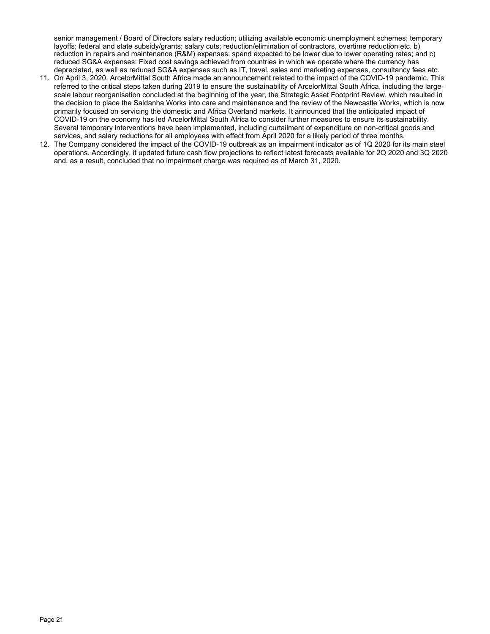senior management / Board of Directors salary reduction; utilizing available economic unemployment schemes; temporary layoffs; federal and state subsidy/grants; salary cuts; reduction/elimination of contractors, overtime reduction etc. b) reduction in repairs and maintenance (R&M) expenses: spend expected to be lower due to lower operating rates; and c) reduced SG&A expenses: Fixed cost savings achieved from countries in which we operate where the currency has depreciated, as well as reduced SG&A expenses such as IT, travel, sales and marketing expenses, consultancy fees etc.

- 11. On April 3, 2020, ArcelorMittal South Africa made an announcement related to the impact of the COVID-19 pandemic. This referred to the critical steps taken during 2019 to ensure the sustainability of ArcelorMittal South Africa, including the largescale labour reorganisation concluded at the beginning of the year, the Strategic Asset Footprint Review, which resulted in the decision to place the Saldanha Works into care and maintenance and the review of the Newcastle Works, which is now primarily focused on servicing the domestic and Africa Overland markets. It announced that the anticipated impact of COVID-19 on the economy has led ArcelorMittal South Africa to consider further measures to ensure its sustainability. Several temporary interventions have been implemented, including curtailment of expenditure on non-critical goods and services, and salary reductions for all employees with effect from April 2020 for a likely period of three months.
- 12. The Company considered the impact of the COVID-19 outbreak as an impairment indicator as of 1Q 2020 for its main steel operations. Accordingly, it updated future cash flow projections to reflect latest forecasts available for 2Q 2020 and 3Q 2020 and, as a result, concluded that no impairment charge was required as of March 31, 2020.